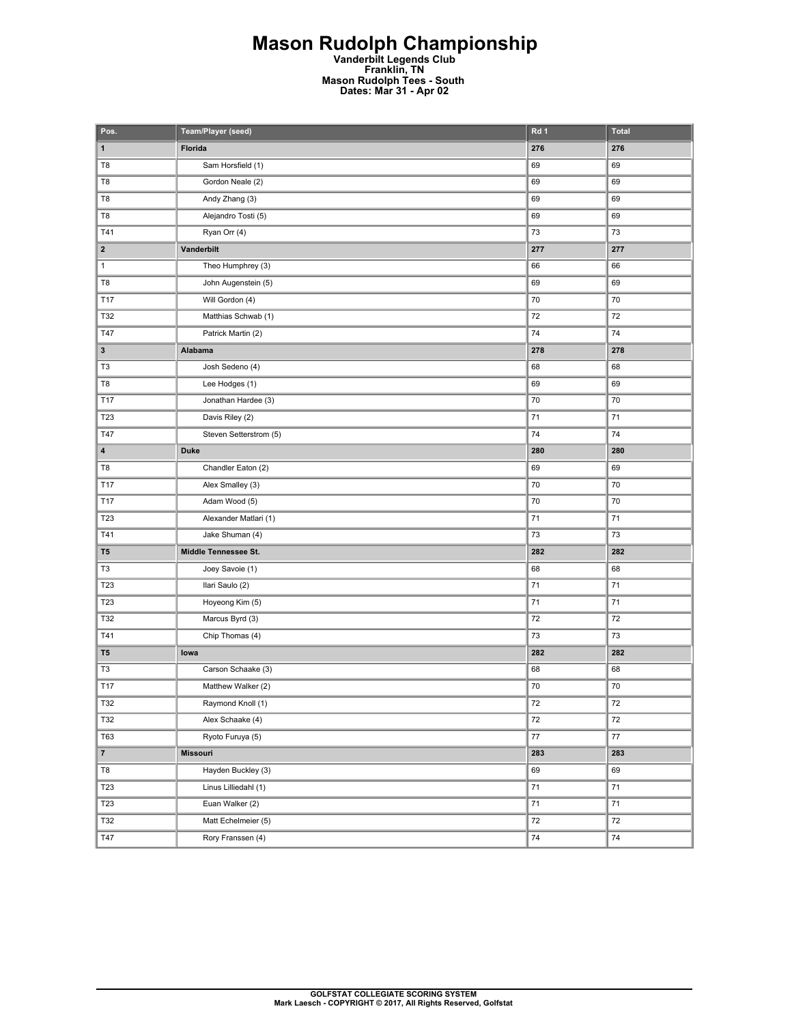## **Mason Rudolph Championship Vanderbilt Legends Club Franklin, TN Mason Rudolph Tees - South Dates: Mar 31 - Apr 02**

| Pos.                    | Team/Player (seed)     | Rd 1 | <b>Total</b> |
|-------------------------|------------------------|------|--------------|
| 1                       | Florida                | 276  | 276          |
| T8                      | Sam Horsfield (1)      | 69   | 69           |
| T8                      | Gordon Neale (2)       | 69   | 69           |
| T8                      | Andy Zhang (3)         | 69   | 69           |
| T8                      | Alejandro Tosti (5)    | 69   | 69           |
| T41                     | Ryan Orr (4)           | 73   | 73           |
| $\overline{\mathbf{2}}$ | Vanderbilt             | 277  | 277          |
| $\mathbf{1}$            | Theo Humphrey (3)      | 66   | 66           |
| T8                      | John Augenstein (5)    | 69   | 69           |
| T17                     | Will Gordon (4)        | 70   | 70           |
| T32                     | Matthias Schwab (1)    | 72   | 72           |
| T47                     | Patrick Martin (2)     | 74   | 74           |
| $\mathbf{3}$            | Alabama                | 278  | 278          |
| T3                      | Josh Sedeno (4)        | 68   | 68           |
| T8                      | Lee Hodges (1)         | 69   | 69           |
| T17                     | Jonathan Hardee (3)    | 70   | 70           |
| T <sub>23</sub>         | Davis Riley (2)        | 71   | 71           |
| T47                     | Steven Setterstrom (5) | 74   | 74           |
| 4                       | <b>Duke</b>            | 280  | 280          |
| T8                      | Chandler Eaton (2)     | 69   | 69           |
| T17                     | Alex Smalley (3)       | 70   | 70           |
| T17                     | Adam Wood (5)          | 70   | 70           |
| T <sub>23</sub>         | Alexander Matlari (1)  | 71   | 71           |
| T41                     | Jake Shuman (4)        | 73   | 73           |
| T5                      | Middle Tennessee St.   | 282  | 282          |
| T3                      | Joey Savoie (1)        | 68   | 68           |
| T23                     | Ilari Saulo (2)        | 71   | 71           |
| T23                     | Hoyeong Kim (5)        | 71   | 71           |
| T32                     | Marcus Byrd (3)        | 72   | 72           |
| T41                     | Chip Thomas (4)        | 73   | 73           |
| T5                      | lowa                   | 282  | 282          |
| T3                      | Carson Schaake (3)     | 68   | 68           |
| T17                     | Matthew Walker (2)     | 70   | 70           |
| T32                     | Raymond Knoll (1)      | 72   | 72           |
| T32                     | Alex Schaake (4)       | 72   | 72           |
| <b>T63</b>              | Ryoto Furuya (5)       | 77   | 77           |
| $\mathbf{7}$            | Missouri               | 283  | 283          |
| T8                      | Hayden Buckley (3)     | 69   | 69           |
| T23                     | Linus Lilliedahl (1)   | 71   | $71$         |
| T <sub>23</sub>         | Euan Walker (2)        | 71   | $71$         |
| T32                     | Matt Echelmeier (5)    | 72   | $72\,$       |
| T47                     | Rory Franssen (4)      | 74   | 74           |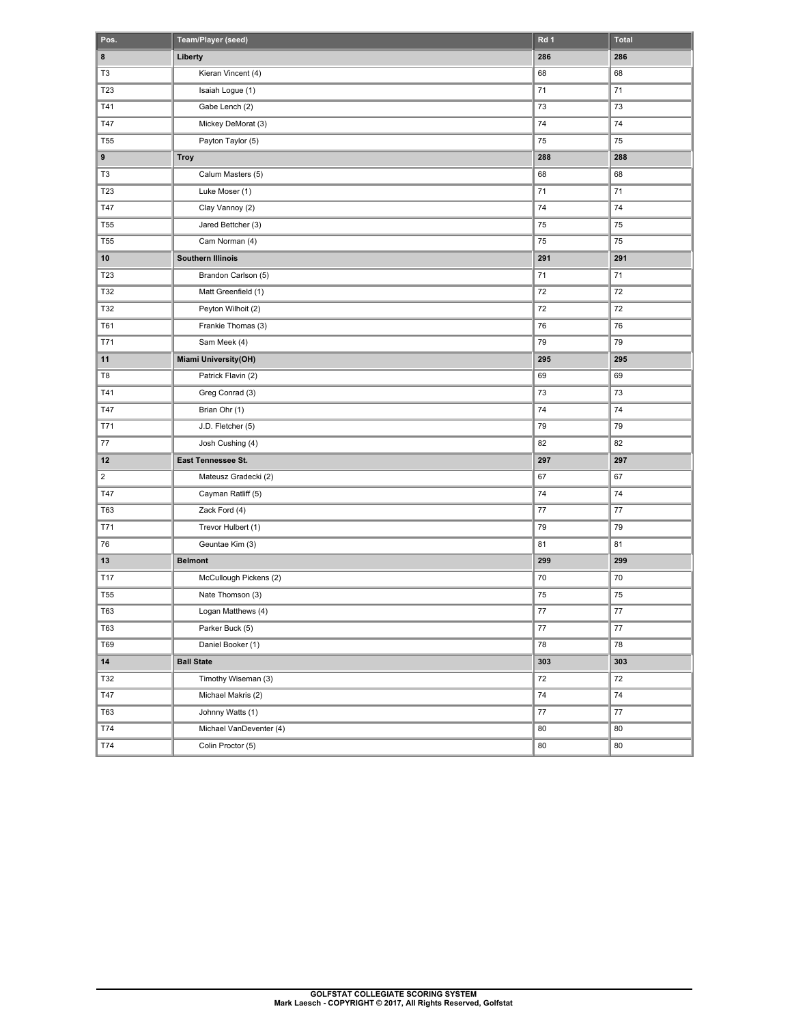| Pos.                    | Team/Player (seed)          | Rd 1       | <b>Total</b> |
|-------------------------|-----------------------------|------------|--------------|
| 8                       | Liberty                     | 286        | 286          |
| T <sub>3</sub>          | Kieran Vincent (4)          | 68         | 68           |
| T23                     | Isaiah Logue (1)            | 71         | 71           |
| T41                     | Gabe Lench (2)              | 73         | 73           |
| T47                     | Mickey DeMorat (3)          | 74         | 74           |
| <b>T55</b>              | Payton Taylor (5)           | 75         | 75           |
| 9                       | <b>Troy</b>                 | 288        | 288          |
| T <sub>3</sub>          | Calum Masters (5)           | 68         | 68           |
| T23                     | Luke Moser (1)              | 71         | 71           |
| T47                     | Clay Vannoy (2)             | 74         | 74           |
| T <sub>55</sub>         | Jared Bettcher (3)          | 75         | 75           |
| T <sub>55</sub>         | Cam Norman (4)              | 75         | 75           |
| 10                      | <b>Southern Illinois</b>    | 291        | 291          |
| T23                     | Brandon Carlson (5)         | 71         | 71           |
| T32                     | Matt Greenfield (1)         | 72         | 72           |
| T32                     | Peyton Wilhoit (2)          | 72         | 72           |
| T61                     | Frankie Thomas (3)          | 76         | 76           |
| T71                     | Sam Meek (4)                | 79         | 79           |
| 11                      | <b>Miami University(OH)</b> | 295        | 295          |
| T8                      | Patrick Flavin (2)          | 69         | 69           |
| T41                     | Greg Conrad (3)             | 73         | 73           |
| T47                     | Brian Ohr (1)               | 74         | 74           |
| T71                     | J.D. Fletcher (5)           | 79         | 79           |
| 77                      | Josh Cushing (4)            | 82         | 82           |
| 12                      | East Tennessee St.          | 297        | 297          |
| $\overline{\mathbf{c}}$ | Mateusz Gradecki (2)        | 67         | 67           |
| T47                     | Cayman Ratliff (5)          | 74         | 74           |
| T63                     | Zack Ford (4)               | 77         | $77 \,$      |
| T71                     | Trevor Hulbert (1)          | 79         | 79           |
| 76                      | Geuntae Kim (3)             | 81         | 81           |
| 13                      | <b>Belmont</b>              | 299        | 299          |
| T17                     | McCullough Pickens (2)      | 70         | 70           |
| <b>T55</b>              | Nate Thomson (3)            | 75         | 75           |
| T63                     | Logan Matthews (4)          | 77         | $77 \,$      |
| T63                     | Parker Buck (5)             | 77         | $77\,$       |
| T69                     | Daniel Booker (1)           | ${\bf 78}$ | 78           |
| 14                      | <b>Ball State</b>           | 303        | 303          |
| T32                     | Timothy Wiseman (3)         | $72\,$     | 72           |
| T47                     | Michael Makris (2)          | 74         | 74           |
| <b>T63</b>              | Johnny Watts (1)            | $77\,$     | $77\,$       |
| T74                     | Michael VanDeventer (4)     | 80         | 80           |
| T74                     | Colin Proctor (5)           | 80         | 80           |